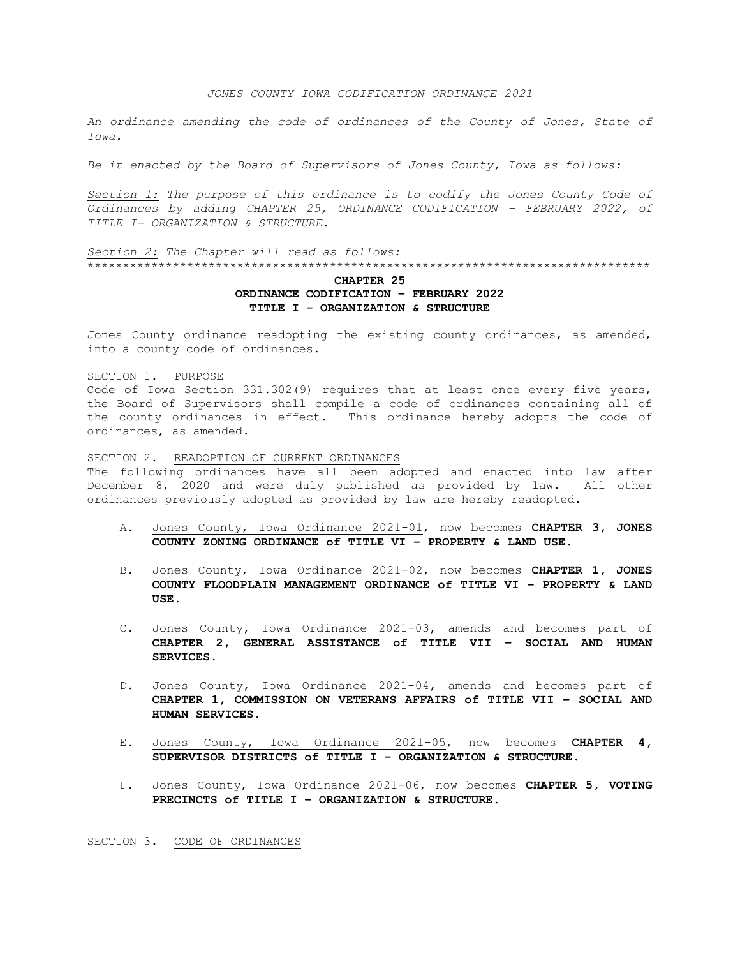## *JONES COUNTY IOWA CODIFICATION ORDINANCE 2021*

*An ordinance amending the code of ordinances of the County of Jones, State of Iowa.*

*Be it enacted by the Board of Supervisors of Jones County, Iowa as follows:*

*Section 1: The purpose of this ordinance is to codify the Jones County Code of Ordinances by adding CHAPTER 25, ORDINANCE CODIFICATION – FEBRUARY 2022, of TITLE I- ORGANIZATION & STRUCTURE.*

*Section 2: The Chapter will read as follows:* \*\*\*\*\*\*\*\*\*\*\*\*\*\*\*\*\*\*\*\*\*\*\*\*\*\*\*\*\*\*\*\*\*\*\*\*\*\*\*\*\*\*\*\*\*\*\*\*\*\*\*\*\*\*\*\*\*\*\*\*\*\*\*\*\*\*\*\*\*\*\*\*\*\*\*\*\*\*\*

## **CHAPTER 25 ORDINANCE CODIFICATION – FEBRUARY 2022 TITLE I - ORGANIZATION & STRUCTURE**

Jones County ordinance readopting the existing county ordinances, as amended, into a county code of ordinances.

SECTION 1. PURPOSE Code of Iowa Section 331.302(9) requires that at least once every five years, the Board of Supervisors shall compile a code of ordinances containing all of the county ordinances in effect. This ordinance hereby adopts the code of ordinances, as amended.

SECTION 2. READOPTION OF CURRENT ORDINANCES The following ordinances have all been adopted and enacted into law after December 8, 2020 and were duly published as provided by law. All other ordinances previously adopted as provided by law are hereby readopted.

- A. Jones County, Iowa Ordinance 2021-01, now becomes **CHAPTER 3, JONES COUNTY ZONING ORDINANCE of TITLE VI – PROPERTY & LAND USE.**
- B. Jones County, Iowa Ordinance 2021-02, now becomes **CHAPTER 1, JONES COUNTY FLOODPLAIN MANAGEMENT ORDINANCE of TITLE VI – PROPERTY & LAND USE**.
- C. Jones County, Iowa Ordinance 2021-03, amends and becomes part of **CHAPTER 2, GENERAL ASSISTANCE of TITLE VII – SOCIAL AND HUMAN SERVICES**.
- D. Jones County, Iowa Ordinance 2021-04, amends and becomes part of **CHAPTER 1, COMMISSION ON VETERANS AFFAIRS of TITLE VII – SOCIAL AND HUMAN SERVICES**.
- E. Jones County, Iowa Ordinance 2021-05, now becomes **CHAPTER 4, SUPERVISOR DISTRICTS of TITLE I – ORGANIZATION & STRUCTURE**.
- F. Jones County, Iowa Ordinance 2021-06, now becomes **CHAPTER 5, VOTING PRECINCTS of TITLE I – ORGANIZATION & STRUCTURE**.

SECTION 3. CODE OF ORDINANCES